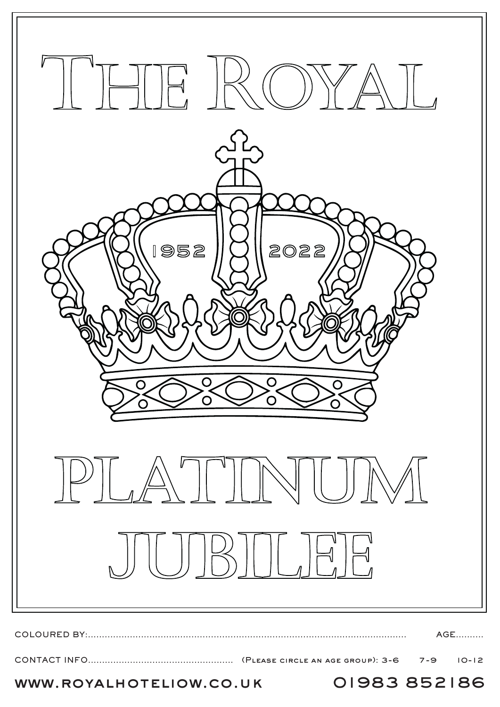

www.royalhoteliow.co.uk 01983 852186